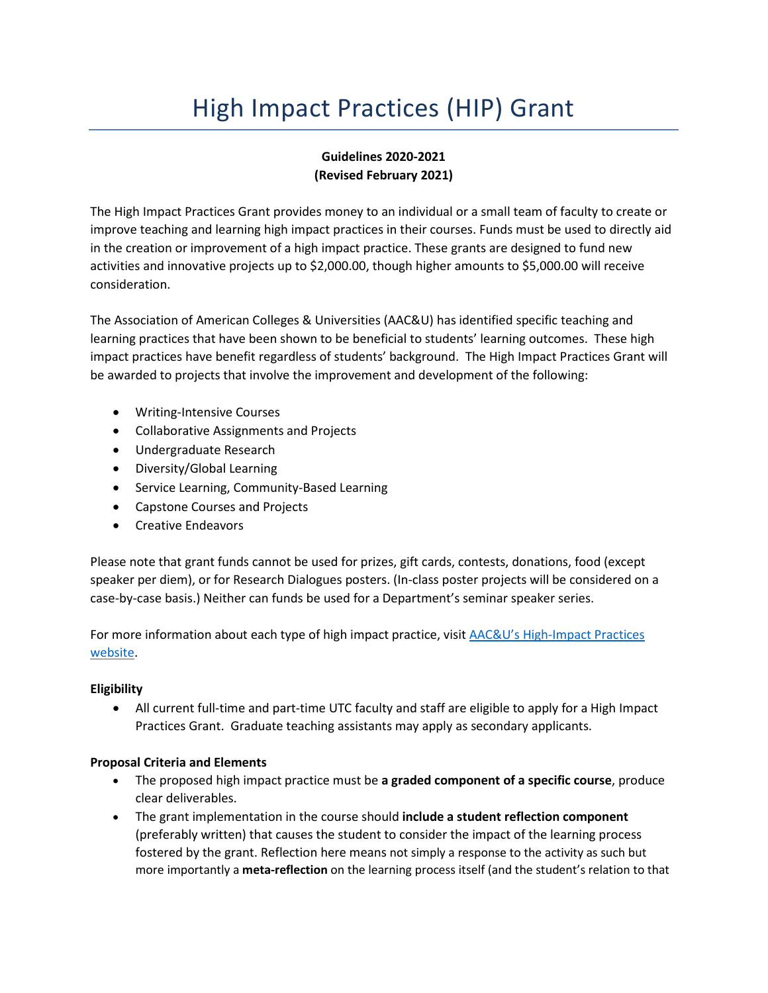# High Impact Practices (HIP) Grant

# **Guidelines 2020-2021 (Revised February 2021)**

The High Impact Practices Grant provides money to an individual or a small team of faculty to create or improve teaching and learning high impact practices in their courses. Funds must be used to directly aid in the creation or improvement of a high impact practice. These grants are designed to fund new activities and innovative projects up to \$2,000.00, though higher amounts to \$5,000.00 will receive consideration.

The Association of American Colleges & Universities (AAC&U) has identified specific teaching and learning practices that have been shown to be beneficial to students' learning outcomes. These high impact practices have benefit regardless of students' background. The High Impact Practices Grant will be awarded to projects that involve the improvement and development of the following:

- Writing-Intensive Courses
- Collaborative Assignments and Projects
- Undergraduate Research
- Diversity/Global Learning
- Service Learning, Community-Based Learning
- Capstone Courses and Projects
- Creative Endeavors

Please note that grant funds cannot be used for prizes, gift cards, contests, donations, food (except speaker per diem), or for Research Dialogues posters. (In-class poster projects will be considered on a case-by-case basis.) Neither can funds be used for a Department's seminar speaker series.

For more information about each type of high impact practice, visit [AAC&U's High-Impact Practices](https://www.aacu.org/resources/high-impact-practices)  [website.](https://www.aacu.org/resources/high-impact-practices)

# **Eligibility**

• All current full-time and part-time UTC faculty and staff are eligible to apply for a High Impact Practices Grant. Graduate teaching assistants may apply as secondary applicants.

### **Proposal Criteria and Elements**

- The proposed high impact practice must be **a graded component of a specific course**, produce clear deliverables.
- The grant implementation in the course should **include a student reflection component** (preferably written) that causes the student to consider the impact of the learning process fostered by the grant. Reflection here means not simply a response to the activity as such but more importantly a **meta-reflection** on the learning process itself (and the student's relation to that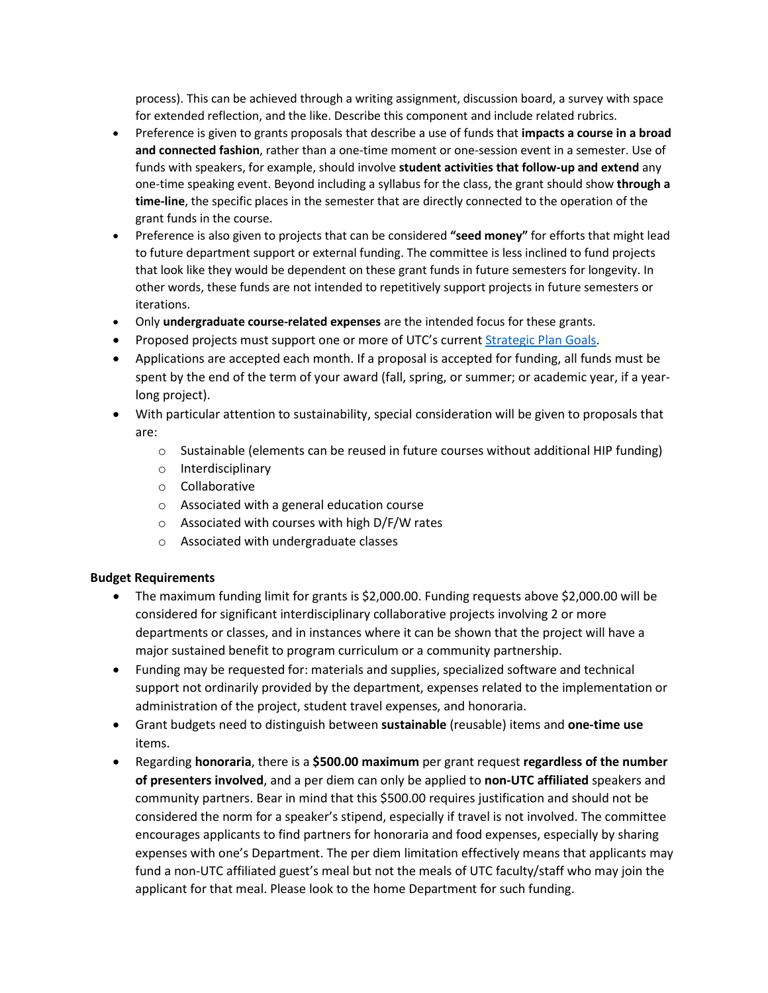process). This can be achieved through a writing assignment, discussion board, a survey with space for extended reflection, and the like. Describe this component and include related rubrics.

- Preference is given to grants proposals that describe a use of funds that **impacts a course in a broad and connected fashion**, rather than a one-time moment or one-session event in a semester. Use of funds with speakers, for example, should involve **student activities that follow-up and extend** any one-time speaking event. Beyond including a syllabus for the class, the grant should show **through a time-line**, the specific places in the semester that are directly connected to the operation of the grant funds in the course.
- Preference is also given to projects that can be considered **"seed money"** for efforts that might lead to future department support or external funding. The committee is less inclined to fund projects that look like they would be dependent on these grant funds in future semesters for longevity. In other words, these funds are not intended to repetitively support projects in future semesters or iterations.
- Only **undergraduate course-related expenses** are the intended focus for these grants.
- Proposed projects must support one or more of UTC's current [Strategic Plan Goals.](http://www.utc.edu/strategic-plan/)
- Applications are accepted each month. If a proposal is accepted for funding, all funds must be spent by the end of the term of your award (fall, spring, or summer; or academic year, if a yearlong project).
- With particular attention to sustainability, special consideration will be given to proposals that are:
	- $\circ$  Sustainable (elements can be reused in future courses without additional HIP funding)
	- o Interdisciplinary
	- o Collaborative
	- o Associated with a general education course
	- o Associated with courses with high D/F/W rates
	- o Associated with undergraduate classes

### **Budget Requirements**

- The maximum funding limit for grants is \$2,000.00. Funding requests above \$2,000.00 will be considered for significant interdisciplinary collaborative projects involving 2 or more departments or classes, and in instances where it can be shown that the project will have a major sustained benefit to program curriculum or a community partnership.
- Funding may be requested for: materials and supplies, specialized software and technical support not ordinarily provided by the department, expenses related to the implementation or administration of the project, student travel expenses, and honoraria.
- Grant budgets need to distinguish between **sustainable** (reusable) items and **one-time use** items.
- Regarding **honoraria**, there is a **\$500.00 maximum** per grant request **regardless of the number of presenters involved**, and a per diem can only be applied to **non-UTC affiliated** speakers and community partners. Bear in mind that this \$500.00 requires justification and should not be considered the norm for a speaker's stipend, especially if travel is not involved. The committee encourages applicants to find partners for honoraria and food expenses, especially by sharing expenses with one's Department. The per diem limitation effectively means that applicants may fund a non-UTC affiliated guest's meal but not the meals of UTC faculty/staff who may join the applicant for that meal. Please look to the home Department for such funding.